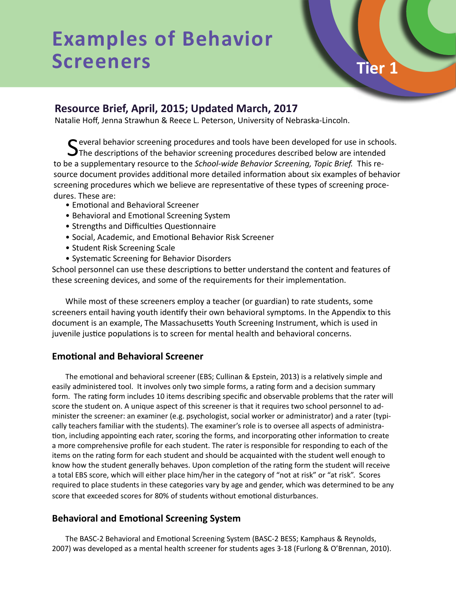# **Examples of Behavior**  Screeners Tier 1

**Resource Brief, April, 2015; Updated March, 2017** 

Natalie Hoff, Jenna Strawhun & Reece L. Peterson, University of Nebraska-Lincoln.

Several behavior screening procedures and tools have been developed for use in schools.<br>
S The descriptions of the behavior screening procedures described below are intended to be a supplementary resource to the *School-wide Behavior Screening, Topic Brief.* This resource document provides additional more detailed information about six examples of behavior screening procedures which we believe are representative of these types of screening procedures. These are:

- Emotional and Behavioral Screener
- Behavioral and Emotional Screening System
- Strengths and Difficulties Questionnaire
- Social, Academic, and Emotional Behavior Risk Screener
- Student Risk Screening Scale
- Systematic Screening for Behavior Disorders

School personnel can use these descriptions to better understand the content and features of these screening devices, and some of the requirements for their implementation.

While most of these screeners employ a teacher (or guardian) to rate students, some screeners entail having youth identify their own behavioral symptoms. In the Appendix to this document is an example, The Massachusetts Youth Screening Instrument, which is used in juvenile justice populations is to screen for mental health and behavioral concerns.

#### **Emotional and Behavioral Screener**

The emotional and behavioral screener (EBS; Cullinan & Epstein, 2013) is a relatively simple and easily administered tool. It involves only two simple forms, a rating form and a decision summary form. The rating form includes 10 items describing specific and observable problems that the rater will score the student on. A unique aspect of this screener is that it requires two school personnel to administer the screener: an examiner (e.g. psychologist, social worker or administrator) and a rater (typically teachers familiar with the students). The examiner's role is to oversee all aspects of administration, including appointing each rater, scoring the forms, and incorporating other information to create a more comprehensive profile for each student. The rater is responsible for responding to each of the items on the rating form for each student and should be acquainted with the student well enough to know how the student generally behaves. Upon completion of the rating form the student will receive a total EBS score, which will either place him/her in the category of "not at risk" or "at risk". Scores required to place students in these categories vary by age and gender, which was determined to be any score that exceeded scores for 80% of students without emotional disturbances.

#### **Behavioral and Emotional Screening System**

The BASC-2 Behavioral and Emotional Screening System (BASC-2 BESS; Kamphaus & Reynolds, 2007) was developed as a mental health screener for students ages 3-18 (Furlong & O'Brennan, 2010).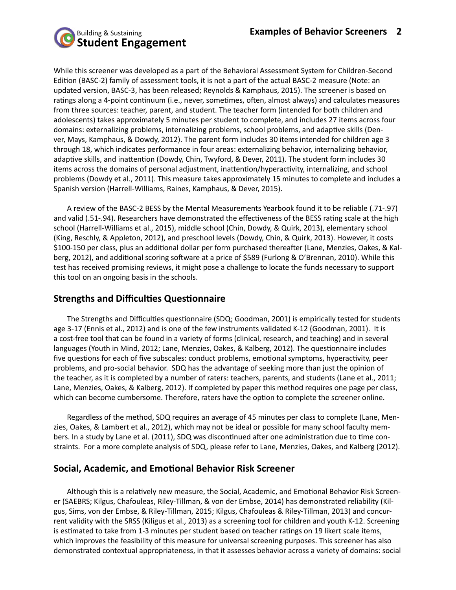

While this screener was developed as a part of the Behavioral Assessment System for Children-Second Edition (BASC-2) family of assessment tools, it is not a part of the actual BASC-2 measure (Note: an updated version, BASC-3, has been released; Reynolds & Kamphaus, 2015). The screener is based on ratings along a 4-point continuum (i.e., never, sometimes, often, almost always) and calculates measures from three sources: teacher, parent, and student. The teacher form (intended for both children and adolescents) takes approximately 5 minutes per student to complete, and includes 27 items across four domains: externalizing problems, internalizing problems, school problems, and adaptive skills (Denver, Mays, Kamphaus, & Dowdy, 2012). The parent form includes 30 items intended for children age 3 through 18, which indicates performance in four areas: externalizing behavior, internalizing behavior, adaptive skills, and inattention (Dowdy, Chin, Twyford, & Dever, 2011). The student form includes 30 items across the domains of personal adjustment, inattention/hyperactivity, internalizing, and school problems (Dowdy et al., 2011). This measure takes approximately 15 minutes to complete and includes a Spanish version (Harrell-Williams, Raines, Kamphaus, & Dever, 2015).

A review of the BASC-2 BESS by the Mental Measurements Yearbook found it to be reliable (.71-.97) and valid (.51-.94). Researchers have demonstrated the effectiveness of the BESS rating scale at the high school (Harrell-Williams et al., 2015), middle school (Chin, Dowdy, & Quirk, 2013), elementary school (King, Reschly, & Appleton, 2012), and preschool levels (Dowdy, Chin, & Quirk, 2013). However, it costs \$100-150 per class, plus an additional dollar per form purchased thereafter (Lane, Menzies, Oakes, & Kalberg, 2012), and additional scoring software at a price of \$589 (Furlong & O'Brennan, 2010). While this test has received promising reviews, it might pose a challenge to locate the funds necessary to support this tool on an ongoing basis in the schools.

#### **Strengths and Difficulties Questionnaire**

The Strengths and Difficulties questionnaire (SDQ; Goodman, 2001) is empirically tested for students age 3-17 (Ennis et al., 2012) and is one of the few instruments validated K-12 (Goodman, 2001). It is a cost-free tool that can be found in a variety of forms (clinical, research, and teaching) and in several languages (Youth in Mind, 2012; Lane, Menzies, Oakes, & Kalberg, 2012). The questionnaire includes five questions for each of five subscales: conduct problems, emotional symptoms, hyperactivity, peer problems, and pro-social behavior. SDQ has the advantage of seeking more than just the opinion of the teacher, as it is completed by a number of raters: teachers, parents, and students (Lane et al., 2011; Lane, Menzies, Oakes, & Kalberg, 2012). If completed by paper this method requires one page per class, which can become cumbersome. Therefore, raters have the option to complete the screener online.

Regardless of the method, SDQ requires an average of 45 minutes per class to complete (Lane, Menzies, Oakes, & Lambert et al., 2012), which may not be ideal or possible for many school faculty members. In a study by Lane et al. (2011), SDQ was discontinued after one administration due to time constraints. For a more complete analysis of SDQ, please refer to Lane, Menzies, Oakes, and Kalberg (2012).

#### **Social, Academic, and Emotional Behavior Risk Screener**

Although this is a relatively new measure, the Social, Academic, and Emotional Behavior Risk Screener (SAEBRS; Kilgus, Chafouleas, Riley-Tillman, & von der Embse, 2014) has demonstrated reliability (Kilgus, Sims, von der Embse, & Riley-Tillman, 2015; Kilgus, Chafouleas & Riley-Tillman, 2013) and concurrent validity with the SRSS (Kiligus et al., 2013) as a screening tool for children and youth K-12. Screening is estimated to take from 1-3 minutes per student based on teacher ratings on 19 likert scale items, which improves the feasibility of this measure for universal screening purposes. This screener has also demonstrated contextual appropriateness, in that it assesses behavior across a variety of domains: social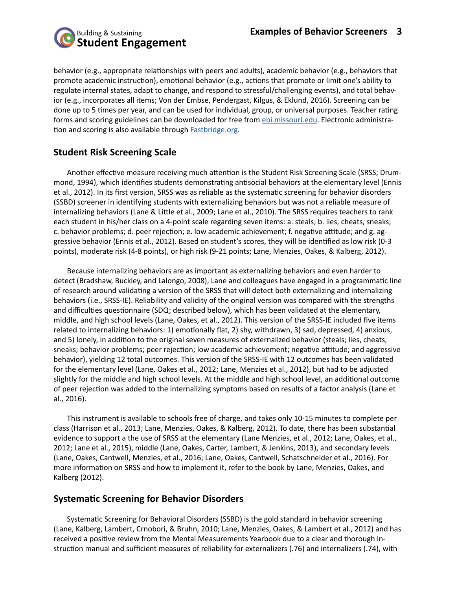

behavior (e.g., appropriate relationships with peers and adults), academic behavior (e.g., behaviors that promote academic instruction), emotional behavior (e.g., actions that promote or limit one's ability to regulate internal states, adapt to change, and respond to stressful/challenging events), and total behavior (e.g., incorporates all items; Von der Embse, Pendergast, Kilgus, & Eklund, 2016). Screening can be done up to 5 times per year, and can be used for individual, group, or universal purposes. Teacher rating forms and scoring guidelines can be downloaded for free from **[ebi.missouri.edu](http://ebi.missouri.edu/?p=1116).** Electronic administration and scoring is also available through [Fastbridge.org](http://fastbridge.org/behavior/).

# **Student Risk Screening Scale**

Another effective measure receiving much attention is the Student Risk Screening Scale (SRSS; Drummond, 1994), which identifies students demonstrating antisocial behaviors at the elementary level (Ennis et al., 2012). In its first version, SRSS was as reliable as the systematic screening for behavior disorders (SSBD) screener in identifying students with externalizing behaviors but was not a reliable measure of internalizing behaviors (Lane & Little et al., 2009; Lane et al., 2010). The SRSS requires teachers to rank each student in his/her class on a 4-point scale regarding seven items: a. steals; b. lies, cheats, sneaks; c. behavior problems; d. peer rejection; e. low academic achievement; f. negative attitude; and g. aggressive behavior (Ennis et al., 2012). Based on student's scores, they will be identified as low risk (0-3 points), moderate risk (4-8 points), or high risk (9-21 points; Lane, Menzies, Oakes, & Kalberg, 2012).

Because internalizing behaviors are as important as externalizing behaviors and even harder to detect (Bradshaw, Buckley, and Lalongo, 2008), Lane and colleagues have engaged in a programmatic line of research around validating a version of the SRSS that will detect both externalizing and internalizing behaviors (i.e., SRSS-IE). Reliability and validity of the original version was compared with the strengths and difficulties questionnaire (SDQ; described below), which has been validated at the elementary, middle, and high school levels (Lane, Oakes, et al., 2012). This version of the SRSS-IE included five items related to internalizing behaviors: 1) emotionally flat, 2) shy, withdrawn, 3) sad, depressed, 4) anxious, and 5) lonely, in addition to the original seven measures of externalized behavior (steals; lies, cheats, sneaks; behavior problems; peer rejection; low academic achievement; negative attitude; and aggressive behavior), yielding 12 total outcomes. This version of the SRSS-IE with 12 outcomes has been validated for the elementary level (Lane, Oakes et al., 2012; Lane, Menzies et al., 2012), but had to be adjusted slightly for the middle and high school levels. At the middle and high school level, an additional outcome of peer rejection was added to the internalizing symptoms based on results of a factor analysis (Lane et al., 2016).

This instrument is available to schools free of charge, and takes only 10-15 minutes to complete per class (Harrison et al., 2013; Lane, Menzies, Oakes, & Kalberg, 2012). To date, there has been substantial evidence to support a the use of SRSS at the elementary (Lane Menzies, et al., 2012; Lane, Oakes, et al., 2012; Lane et al., 2015), middle (Lane, Oakes, Carter, Lambert, & Jenkins, 2013), and secondary levels (Lane, Oakes, Cantwell, Menzies, et al., 2016; Lane, Oakes, Cantwell, Schatschneider et al., 2016). For more information on SRSS and how to implement it, refer to the book by Lane, Menzies, Oakes, and Kalberg (2012).

# **Systematic Screening for Behavior Disorders**

Systematic Screening for Behavioral Disorders (SSBD) is the gold standard in behavior screening (Lane, Kalberg, Lambert, Crnobori, & Bruhn, 2010; Lane, Menzies, Oakes, & Lambert et al., 2012) and has received a positive review from the Mental Measurements Yearbook due to a clear and thorough instruction manual and sufficient measures of reliability for externalizers (.76) and internalizers (.74), with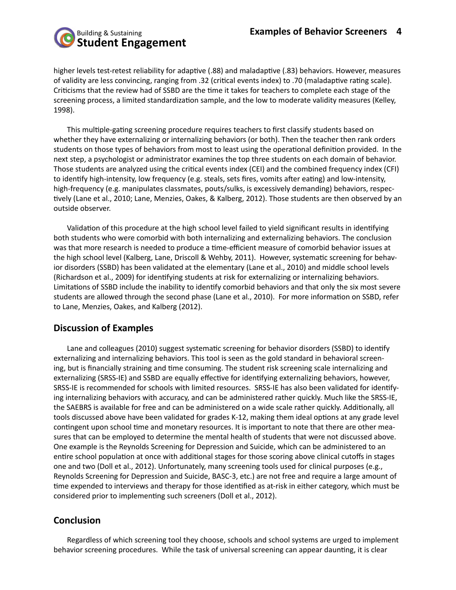

higher levels test-retest reliability for adaptive (.88) and maladaptive (.83) behaviors. However, measures of validity are less convincing, ranging from .32 (critical events index) to .70 (maladaptive rating scale). Criticisms that the review had of SSBD are the time it takes for teachers to complete each stage of the screening process, a limited standardization sample, and the low to moderate validity measures (Kelley, 1998).

This multiple-gating screening procedure requires teachers to first classify students based on whether they have externalizing or internalizing behaviors (or both). Then the teacher then rank orders students on those types of behaviors from most to least using the operational definition provided. In the next step, a psychologist or administrator examines the top three students on each domain of behavior. Those students are analyzed using the critical events index (CEI) and the combined frequency index (CFI) to identify high-intensity, low frequency (e.g. steals, sets fires, vomits after eating) and low-intensity, high-frequency (e.g. manipulates classmates, pouts/sulks, is excessively demanding) behaviors, respectively (Lane et al., 2010; Lane, Menzies, Oakes, & Kalberg, 2012). Those students are then observed by an outside observer.

Validation of this procedure at the high school level failed to yield significant results in identifying both students who were comorbid with both internalizing and externalizing behaviors. The conclusion was that more research is needed to produce a time-efficient measure of comorbid behavior issues at the high school level (Kalberg, Lane, Driscoll & Wehby, 2011). However, systematic screening for behavior disorders (SSBD) has been validated at the elementary (Lane et al., 2010) and middle school levels (Richardson et al., 2009) for identifying students at risk for externalizing or internalizing behaviors. Limitations of SSBD include the inability to identify comorbid behaviors and that only the six most severe students are allowed through the second phase (Lane et al., 2010). For more information on SSBD, refer to Lane, Menzies, Oakes, and Kalberg (2012).

# **Discussion of Examples**

Lane and colleagues (2010) suggest systematic screening for behavior disorders (SSBD) to identify externalizing and internalizing behaviors. This tool is seen as the gold standard in behavioral screening, but is financially straining and time consuming. The student risk screening scale internalizing and externalizing (SRSS-IE) and SSBD are equally effective for identifying externalizing behaviors, however, SRSS-IE is recommended for schools with limited resources. SRSS-IE has also been validated for identifying internalizing behaviors with accuracy, and can be administered rather quickly. Much like the SRSS-IE, the SAEBRS is available for free and can be administered on a wide scale rather quickly. Additionally, all tools discussed above have been validated for grades K-12, making them ideal options at any grade level contingent upon school time and monetary resources. It is important to note that there are other measures that can be employed to determine the mental health of students that were not discussed above. One example is the Reynolds Screening for Depression and Suicide, which can be administered to an entire school population at once with additional stages for those scoring above clinical cutoffs in stages one and two (Doll et al., 2012). Unfortunately, many screening tools used for clinical purposes (e.g., Reynolds Screening for Depression and Suicide, BASC-3, etc.) are not free and require a large amount of time expended to interviews and therapy for those identified as at-risk in either category, which must be considered prior to implementing such screeners (Doll et al., 2012).

# **Conclusion**

Regardless of which screening tool they choose, schools and school systems are urged to implement behavior screening procedures. While the task of universal screening can appear daunting, it is clear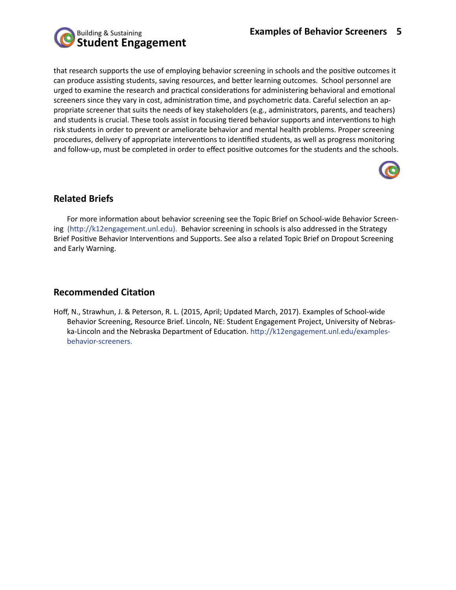

that research supports the use of employing behavior screening in schools and the positive outcomes it can produce assisting students, saving resources, and better learning outcomes. School personnel are urged to examine the research and practical considerations for administering behavioral and emotional screeners since they vary in cost, administration time, and psychometric data. Careful selection an appropriate screener that suits the needs of key stakeholders (e.g., administrators, parents, and teachers) and students is crucial. These tools assist in focusing tiered behavior supports and interventions to high risk students in order to prevent or ameliorate behavior and mental health problems. Proper screening procedures, delivery of appropriate interventions to identified students, as well as progress monitoring and follow-up, must be completed in order to effect positive outcomes for the students and the schools.



# **Related Briefs**

For more information about behavior screening see the Topic Brief on School-wide Behavior Screening (http://k12engagement.unl.edu). Behavior screening in schools is also addressed in the Strategy Brief Positive Behavior Interventions and Supports. See also a related Topic Brief on Dropout Screening and Early Warning.

# **Recommended Citation**

Hoff, N., Strawhun, J. & Peterson, R. L. (2015, April; Updated March, 2017). Examples of School-wide Behavior Screening, Resource Brief. Lincoln, NE: Student Engagement Project, University of Nebraska-Lincoln and the Nebraska Department of Education. http://k12engagement.unl.edu/examplesbehavior-screeners.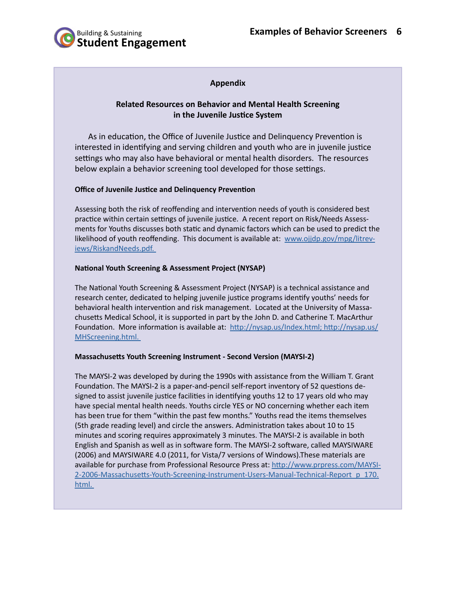

# المسابق المسابق المسابق المسابق المسابق المسابق المسابق المسابق المسابق المسابق المسابق المسابق المسابق المساب<br>المسابق المسابق المسابق المسابق المسابق المسابق المسابق المسابق المسابق المسابق المسابق المسابق المسابق المس

#### **Related Resources on Behavior and Mental Health Screening in the Juvenile Justice System**

As in education, the Office of Juvenile Justice and Delinquency Prevention is interested in identifying and serving children and youth who are in juvenile justice settings who may also have behavioral or mental health disorders. The resources below explain a behavior screening tool developed for those settings.

#### **Office of Juvenile Justice and Delinquency Prevention**

Assessing both the risk of reoffending and intervention needs of youth is considered best practice within certain settings of juvenile justice. A recent report on Risk/Needs Assessments for Youths discusses both static and dynamic factors which can be used to predict the likelihood of youth reoffending. This document is available at: [www.ojjdp.gov/mpg/litrev](http://www.ojjdp.gov/mpg/litreviews/RiskandNeeds.pdf. )[iews/RiskandNeeds.pdf.](http://www.ojjdp.gov/mpg/litreviews/RiskandNeeds.pdf. ) 

#### **National Youth Screening & Assessment Project (NYSAP)**

The National Youth Screening & Assessment Project (NYSAP) is a technical assistance and research center, dedicated to helping juvenile justice programs identify youths' needs for behavioral health intervention and risk management. Located at the University of Massachusetts Medical School, it is supported in part by the John D. and Catherine T. MacArthur Foundation. More information is available at: [http://nysap.us/Index.html; http://nysap.us/](http://nysap.us/Index.html; http://nysap.us/MHScreening.html.  ) [MHScreening.html.](http://nysap.us/Index.html; http://nysap.us/MHScreening.html.  ) 

#### **Massachusetts Youth Screening Instrument - Second Version (MAYSI-2)**

The MAYSI-2 was developed by during the 1990s with assistance from the William T. Grant Foundation. The MAYSI-2 is a paper-and-pencil self-report inventory of 52 questions designed to assist juvenile justice facilities in identifying youths 12 to 17 years old who may have special mental health needs. Youths circle YES or NO concerning whether each item has been true for them "within the past few months." Youths read the items themselves (5th grade reading level) and circle the answers. Administration takes about 10 to 15 minutes and scoring requires approximately 3 minutes. The MAYSI-2 is available in both English and Spanish as well as in software form. The MAYSI-2 software, called MAYSIWARE (2006) and MAYSIWARE 4.0 (2011, for Vista/7 versions of Windows).These materials are available for purchase from Professional Resource Press at: [http://www.prpress.com/MAYSI-](http://www.prpress.com/MAYSI-2-2006-Massachusetts-Youth-Screening-Instrument-Users-Manual-Technical-)[2-2006-Massachusetts-Youth-Screening-Instrument-Users-Manual-Technical-Report\\_p\\_170.](http://www.prpress.com/MAYSI-2-2006-Massachusetts-Youth-Screening-Instrument-Users-Manual-Technical-) [html.](http://www.prpress.com/MAYSI-2-2006-Massachusetts-Youth-Screening-Instrument-Users-Manual-Technical-)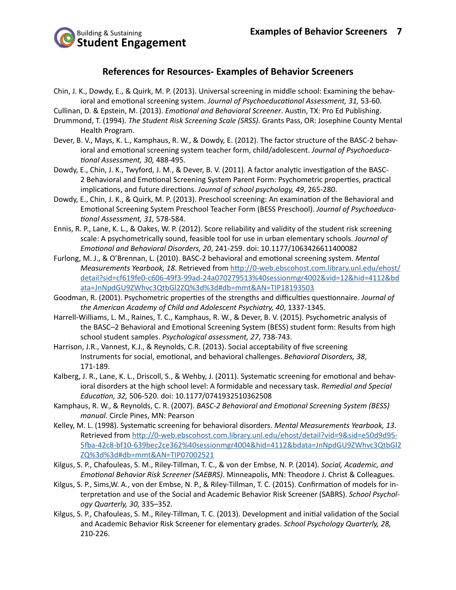

#### **References for Resources- Examples of Behavior Screeners**

- Chin, J. K., Dowdy, E., & Quirk, M. P. (2013). Universal screening in middle school: Examining the behavioral and emotional screening system. *Journal of Psychoeducational Assessment, 31,* 53-60.
- Cullinan, D. & Epstein, M. (2013). *Emotional and Behavioral Screener*. Austin, TX: Pro Ed Publishing.
- Drummond, T. (1994). *The Student Risk Screening Scale (SRSS)*. Grants Pass, OR: Josephine County Mental Health Program.
- Dever, B. V., Mays, K. L., Kamphaus, R. W., & Dowdy, E. (2012). The factor structure of the BASC-2 behavioral and emotional screening system teacher form, child/adolescent. *Journal of Psychoeducational Assessment, 30,* 488-495.
- Dowdy, E., Chin, J. K., Twyford, J. M., & Dever, B. V. (2011). A factor analytic investigation of the BASC-2 Behavioral and Emotional Screening System Parent Form: Psychometric properties, practical implications, and future directions. *Journal of school psychology, 49*, 265-280.
- Dowdy, E., Chin, J. K., & Quirk, M. P. (2013). Preschool screening: An examination of the Behavioral and Emotional Screening System Preschool Teacher Form (BESS Preschool). *Journal of Psychoeducational Assessment, 31,* 578-584.
- Ennis, R. P., Lane, K. L., & Oakes, W. P. (2012). Score reliability and validity of the student risk screening scale: A psychometrically sound, feasible tool for use in urban elementary schools. *Journal of Emotional and Behavioral Disorders, 20*, 241-259. doi: 10.1177/1063426611400082
- Furlong, M. J., & O'Brennan, L. (2010). BASC-2 behavioral and emotional screening system. *Mental Measurements Yearbook, 18*. Retrieved from [http://0-web.ebscohost.com.library.unl.edu/ehost/](http://0-web.ebscohost.com.library.unl.edu/ehost/detail?sid=cf619fe0-c606-49f3-99ad-24a070279513%40sessionmgr4002&vid=12&hid=4112&bdata=JnNpdGU9ZWhvc3QtbGl2ZQ%3d%3d#db=mmt&AN=TIP18193503) [detail?sid=cf619fe0-c606-49f3-99ad-24a070279513%40sessionmgr4002&vid=12&hid=4112&bd](http://0-web.ebscohost.com.library.unl.edu/ehost/detail?sid=cf619fe0-c606-49f3-99ad-24a070279513%40sessionmgr4002&vid=12&hid=4112&bdata=JnNpdGU9ZWhvc3QtbGl2ZQ%3d%3d#db=mmt&AN=TIP18193503) [ata=JnNpdGU9ZWhvc3QtbGl2ZQ%3d%3d#db=mmt&AN=TIP18193503](http://0-web.ebscohost.com.library.unl.edu/ehost/detail?sid=cf619fe0-c606-49f3-99ad-24a070279513%40sessionmgr4002&vid=12&hid=4112&bdata=JnNpdGU9ZWhvc3QtbGl2ZQ%3d%3d#db=mmt&AN=TIP18193503)
- Goodman, R. (2001). Psychometric properties of the strengths and difficulties questionnaire. *Journal of the American Academy of Child and Adolescent Psychiatry, 40*, 1337-1345.
- Harrell-Williams, L. M., Raines, T. C., Kamphaus, R. W., & Dever, B. V. (2015). Psychometric analysis of the BASC–2 Behavioral and Emotional Screening System (BESS) student form: Results from high school student samples. *Psychological assessment, 27*, 738-743.
- Harrison, J.R., Vannest, K.J., & Reynolds, C.R. (2013). Social acceptability of five screening Instruments for social, emotional, and behavioral challenges. *Behavioral Disorders, 38*, 171-189.
- Kalberg, J. R., Lane, K. L., Driscoll, S., & Wehby, J. (2011). Systematic screening for emotional and behavioral disorders at the high school level: A formidable and necessary task. *Remedial and Special Education, 32,* 506-520. doi: 10.1177/0741932510362508
- Kamphaus, R. W., & Reynolds, C. R. (2007). *BASC-2 Behavioral and Emotional Screening System (BESS) manual.* Circle Pines, MN: Pearson
- Kelley, M. L. (1998). Systematic screening for behavioral disorders. *Mental Measurements Yearbook, 13*. Retrieved from [http://0-web.ebscohost.com.library.unl.edu/ehost/detail?vid=9&sid=e50d9d95-](http://0-web.ebscohost.com.library.unl.edu/ehost/detail?vid=9&sid=e50d9d95-5fba-42c8-bf10-639bec2ce362%40sessionmgr4004&hid=4112&bdata=JnNpdGU9ZWhvc3QtbGl2ZQ%3d%3d#db=mmt&AN=TIP07002521) [5fba-42c8-bf10-639bec2ce362%40sessionmgr4004&hid=4112&bdata=JnNpdGU9ZWhvc3QtbGl2](http://0-web.ebscohost.com.library.unl.edu/ehost/detail?vid=9&sid=e50d9d95-5fba-42c8-bf10-639bec2ce362%40sessionmgr4004&hid=4112&bdata=JnNpdGU9ZWhvc3QtbGl2ZQ%3d%3d#db=mmt&AN=TIP07002521) [ZQ%3d%3d#db=mmt&AN=TIP07002521](http://0-web.ebscohost.com.library.unl.edu/ehost/detail?vid=9&sid=e50d9d95-5fba-42c8-bf10-639bec2ce362%40sessionmgr4004&hid=4112&bdata=JnNpdGU9ZWhvc3QtbGl2ZQ%3d%3d#db=mmt&AN=TIP07002521)
- Kilgus, S. P., Chafouleas, S. M., Riley-Tillman, T. C., & von der Embse, N. P. (2014). *Social, Academic, and Emotional Behavior Risk Screener (SAEBRS)*. Minneapolis, MN: Theodore J. Christ & Colleagues.
- Kilgus, S. P., Sims,W. A., von der Embse, N. P., & Riley-Tillman, T. C. (2015). Confirmation of models for interpretation and use of the Social and Academic Behavior Risk Screener (SABRS). *School Psychology Quarterly, 30,* 335–352.
- Kilgus, S. P., Chafouleas, S. M., Riley-Tillman, T. C. (2013). Development and initial validation of the Social and Academic Behavior Risk Screener for elementary grades. *School Psychology Quarterly, 28,*  210-226.